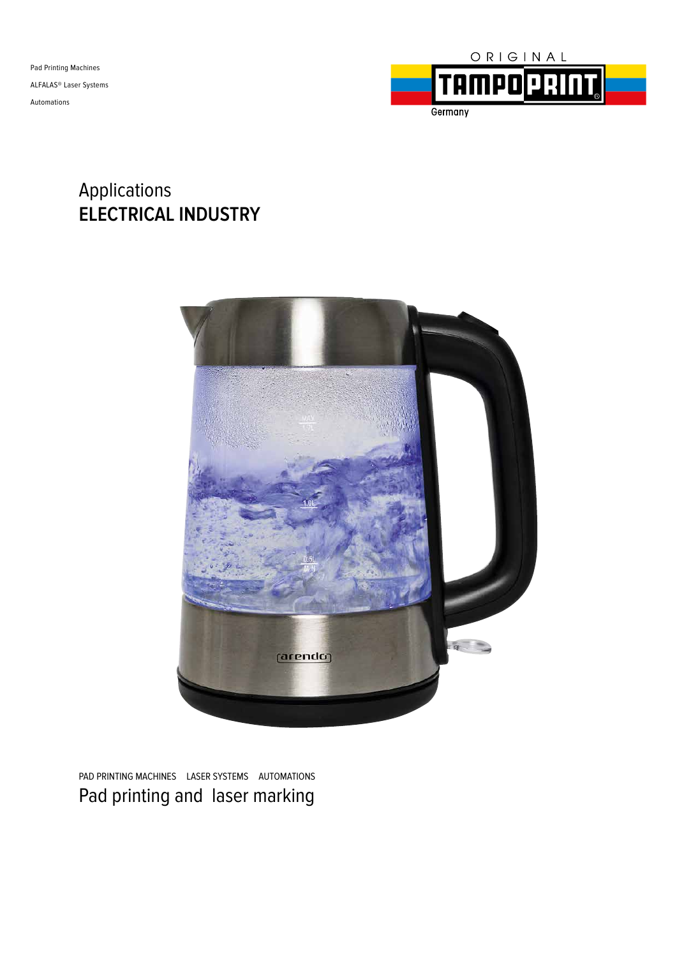Pad Printing Machines ALFALAS® Laser Systems Automations



### Applications **ELECTRICAL INDUSTRY**



Pad printing and laser marking PAD PRINTING MACHINES LASER SYSTEMS AUTOMATIONS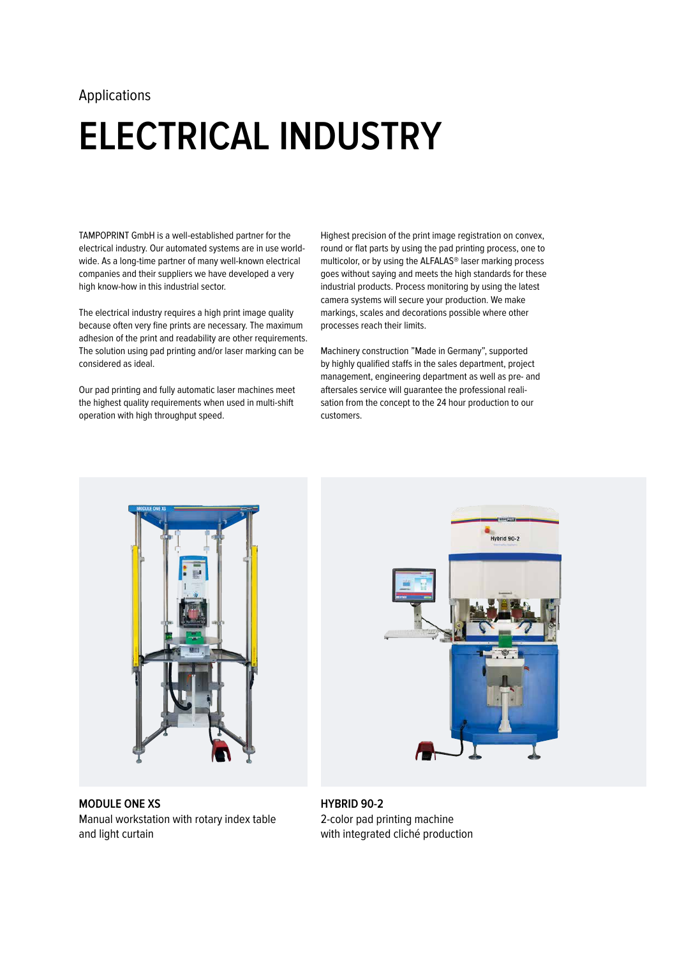### **ELECTRICAL INDUSTRY**

TAMPOPRINT GmbH is a well-established partner for the electrical industry. Our automated systems are in use worldwide. As a long-time partner of many well-known electrical companies and their suppliers we have developed a very high know-how in this industrial sector.

The electrical industry requires a high print image quality because often very fine prints are necessary. The maximum adhesion of the print and readability are other requirements. The solution using pad printing and/or laser marking can be considered as ideal.

Our pad printing and fully automatic laser machines meet the highest quality requirements when used in multi-shift operation with high throughput speed.

Highest precision of the print image registration on convex, round or flat parts by using the pad printing process, one to multicolor, or by using the ALFALAS® laser marking process goes without saying and meets the high standards for these industrial products. Process monitoring by using the latest camera systems will secure your production. We make markings, scales and decorations possible where other processes reach their limits.

Machinery construction "Made in Germany", supported by highly qualified staffs in the sales department, project management, engineering department as well as pre- and aftersales service will guarantee the professional realisation from the concept to the 24 hour production to our customers.







**HYBRID 90-2** 2-color pad printing machine with integrated cliché production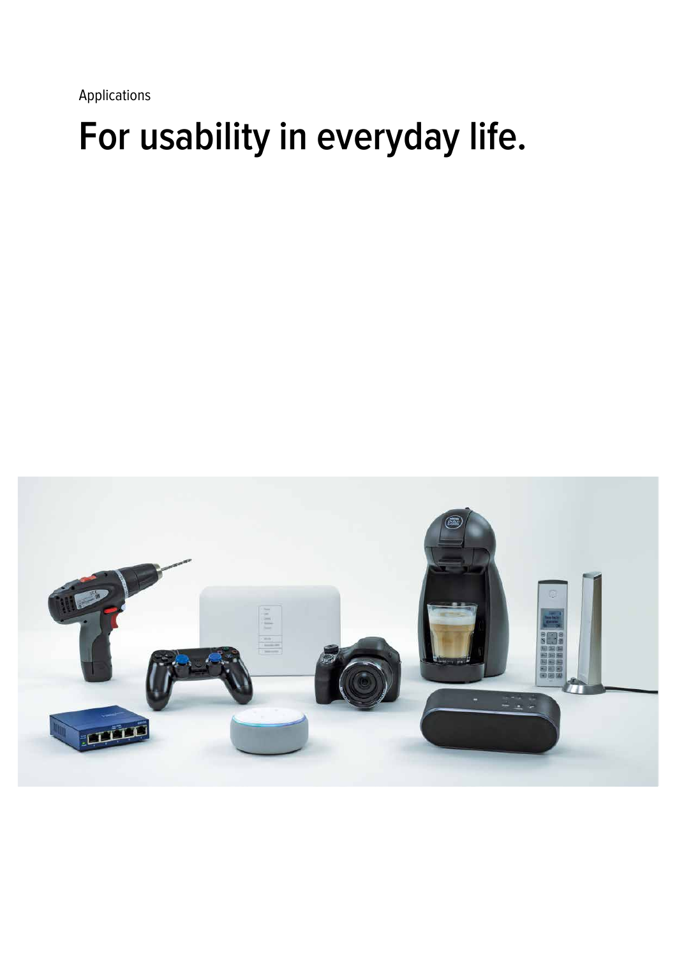# **For usability in everyday life.**

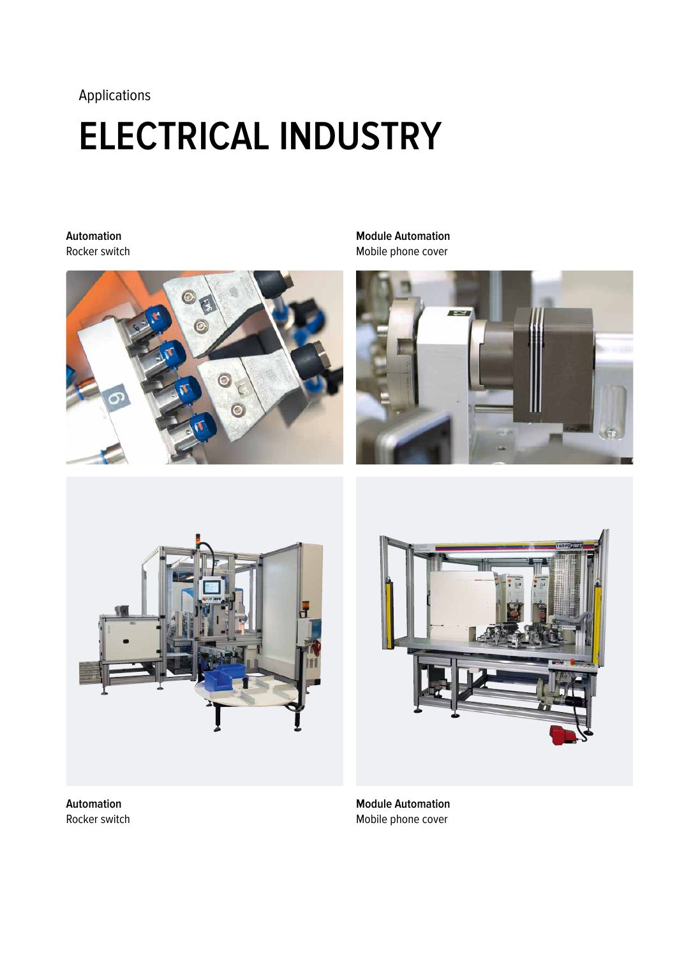## **ELECTRICAL INDUSTRY**

#### **Automation** Rocker switch



**Module Automation** Mobile phone cover









**Module Automation** Mobile phone cover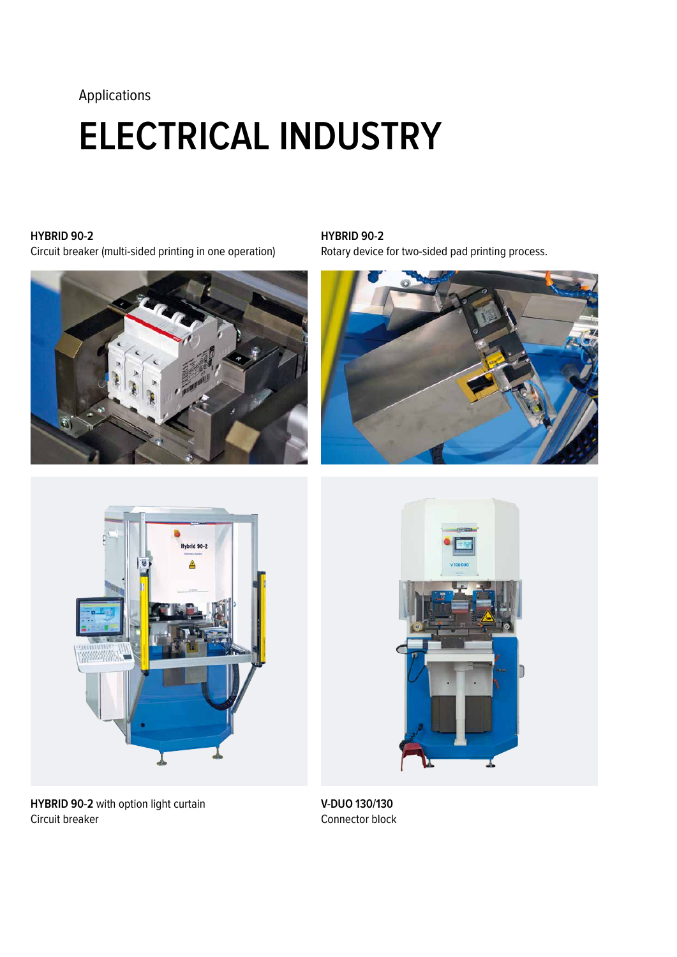## **ELECTRICAL INDUSTRY**

#### **HYBRID 90-2**

Circuit breaker (multi-sided printing in one operation)



#### **HYBRID 90-2**

Rotary device for two-sided pad printing process.









**V-DUO 130/130** Connector block